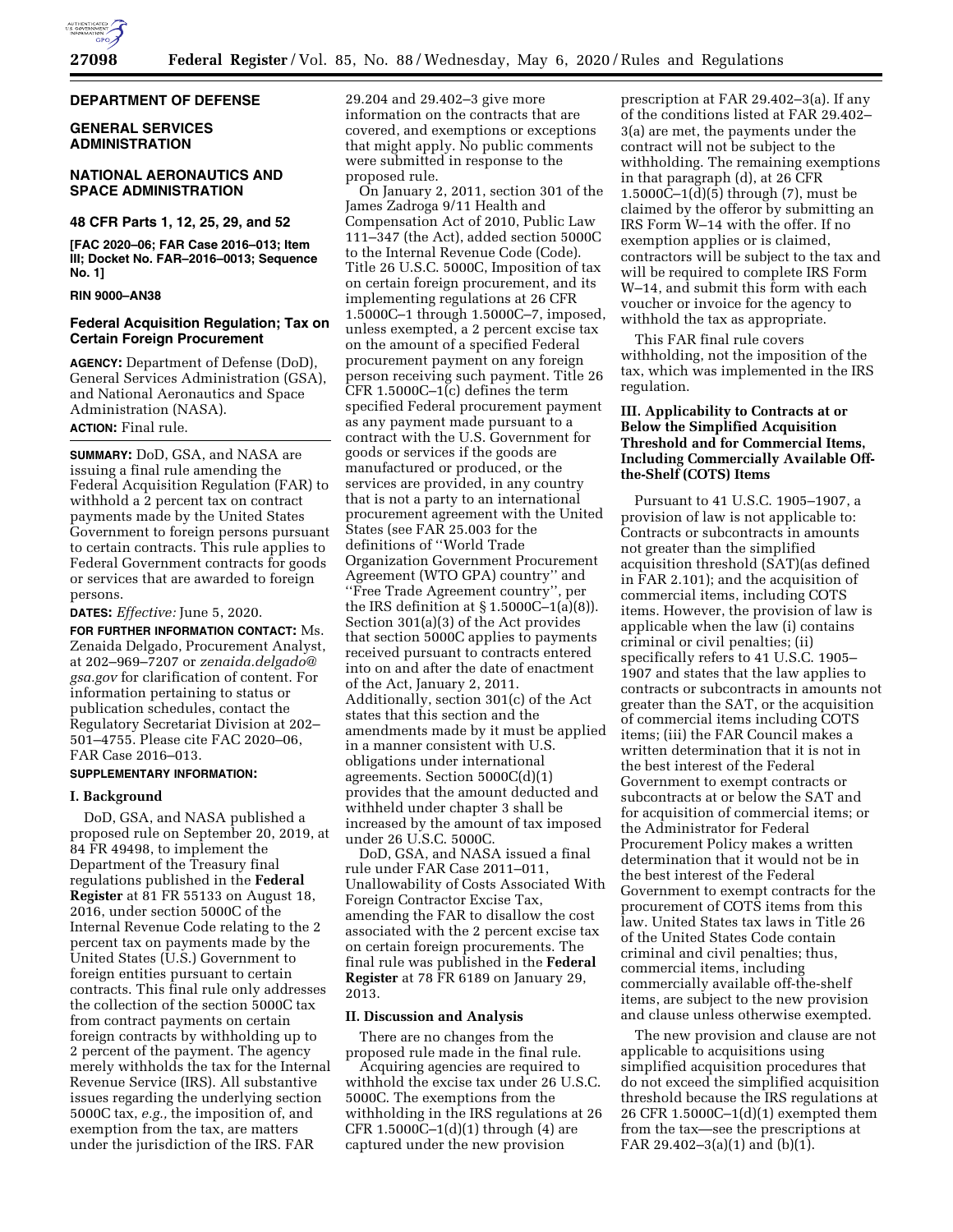

#### **DEPARTMENT OF DEFENSE**

# **GENERAL SERVICES ADMINISTRATION**

## **NATIONAL AERONAUTICS AND SPACE ADMINISTRATION**

## **48 CFR Parts 1, 12, 25, 29, and 52**

**[FAC 2020–06; FAR Case 2016–013; Item III; Docket No. FAR–2016–0013; Sequence No. 1]** 

### **RIN 9000–AN38**

## **Federal Acquisition Regulation; Tax on Certain Foreign Procurement**

**AGENCY:** Department of Defense (DoD), General Services Administration (GSA), and National Aeronautics and Space Administration (NASA).

# **ACTION:** Final rule.

**SUMMARY:** DoD, GSA, and NASA are issuing a final rule amending the Federal Acquisition Regulation (FAR) to withhold a 2 percent tax on contract payments made by the United States Government to foreign persons pursuant to certain contracts. This rule applies to Federal Government contracts for goods or services that are awarded to foreign persons.

**DATES:** *Effective:* June 5, 2020.

**FOR FURTHER INFORMATION CONTACT:** Ms. Zenaida Delgado, Procurement Analyst, at 202–969–7207 or *[zenaida.delgado@](mailto:zenaida.delgado@gsa.gov) [gsa.gov](mailto:zenaida.delgado@gsa.gov)* for clarification of content. For information pertaining to status or publication schedules, contact the Regulatory Secretariat Division at 202– 501–4755. Please cite FAC 2020–06, FAR Case 2016–013.

### **SUPPLEMENTARY INFORMATION:**

### **I. Background**

DoD, GSA, and NASA published a proposed rule on September 20, 2019, at 84 FR 49498, to implement the Department of the Treasury final regulations published in the **Federal Register** at 81 FR 55133 on August 18, 2016, under section 5000C of the Internal Revenue Code relating to the 2 percent tax on payments made by the United States (U.S.) Government to foreign entities pursuant to certain contracts. This final rule only addresses the collection of the section 5000C tax from contract payments on certain foreign contracts by withholding up to 2 percent of the payment. The agency merely withholds the tax for the Internal Revenue Service (IRS). All substantive issues regarding the underlying section 5000C tax, *e.g.,* the imposition of, and exemption from the tax, are matters under the jurisdiction of the IRS. FAR

29.204 and 29.402–3 give more information on the contracts that are covered, and exemptions or exceptions that might apply. No public comments were submitted in response to the proposed rule.

On January 2, 2011, section 301 of the James Zadroga 9/11 Health and Compensation Act of 2010, Public Law 111–347 (the Act), added section 5000C to the Internal Revenue Code (Code). Title 26 U.S.C. 5000C, Imposition of tax on certain foreign procurement, and its implementing regulations at 26 CFR 1.5000C–1 through 1.5000C–7, imposed, unless exempted, a 2 percent excise tax on the amount of a specified Federal procurement payment on any foreign person receiving such payment. Title 26 CFR 1.5000C–1(c) defines the term specified Federal procurement payment as any payment made pursuant to a contract with the U.S. Government for goods or services if the goods are manufactured or produced, or the services are provided, in any country that is not a party to an international procurement agreement with the United States (see FAR 25.003 for the definitions of ''World Trade Organization Government Procurement Agreement (WTO GPA) country'' and ''Free Trade Agreement country'', per the IRS definition at  $\S 1.5000C-1(a)(8)$ . Section 301(a)(3) of the Act provides that section 5000C applies to payments received pursuant to contracts entered into on and after the date of enactment of the Act, January 2, 2011. Additionally, section 301(c) of the Act states that this section and the amendments made by it must be applied in a manner consistent with U.S. obligations under international agreements. Section 5000C(d)(1) provides that the amount deducted and withheld under chapter 3 shall be increased by the amount of tax imposed under 26 U.S.C. 5000C.

DoD, GSA, and NASA issued a final rule under FAR Case 2011–011, Unallowability of Costs Associated With Foreign Contractor Excise Tax, amending the FAR to disallow the cost associated with the 2 percent excise tax on certain foreign procurements. The final rule was published in the **Federal Register** at 78 FR 6189 on January 29, 2013.

### **II. Discussion and Analysis**

There are no changes from the proposed rule made in the final rule.

Acquiring agencies are required to withhold the excise tax under 26 U.S.C. 5000C. The exemptions from the withholding in the IRS regulations at 26 CFR  $1.5000C-1(d)(1)$  through  $(4)$  are captured under the new provision

prescription at FAR 29.402–3(a). If any of the conditions listed at FAR 29.402– 3(a) are met, the payments under the contract will not be subject to the withholding. The remaining exemptions in that paragraph (d), at 26 CFR 1.5000C–1(d)(5) through (7), must be claimed by the offeror by submitting an IRS Form W–14 with the offer. If no exemption applies or is claimed, contractors will be subject to the tax and will be required to complete IRS Form W–14, and submit this form with each voucher or invoice for the agency to withhold the tax as appropriate.

This FAR final rule covers withholding, not the imposition of the tax, which was implemented in the IRS regulation.

## **III. Applicability to Contracts at or Below the Simplified Acquisition Threshold and for Commercial Items, Including Commercially Available Offthe-Shelf (COTS) Items**

Pursuant to 41 U.S.C. 1905–1907, a provision of law is not applicable to: Contracts or subcontracts in amounts not greater than the simplified acquisition threshold (SAT)(as defined in FAR 2.101); and the acquisition of commercial items, including COTS items. However, the provision of law is applicable when the law (i) contains criminal or civil penalties; (ii) specifically refers to 41 U.S.C. 1905– 1907 and states that the law applies to contracts or subcontracts in amounts not greater than the SAT, or the acquisition of commercial items including COTS items; (iii) the FAR Council makes a written determination that it is not in the best interest of the Federal Government to exempt contracts or subcontracts at or below the SAT and for acquisition of commercial items; or the Administrator for Federal Procurement Policy makes a written determination that it would not be in the best interest of the Federal Government to exempt contracts for the procurement of COTS items from this law. United States tax laws in Title 26 of the United States Code contain criminal and civil penalties; thus, commercial items, including commercially available off-the-shelf items, are subject to the new provision and clause unless otherwise exempted.

The new provision and clause are not applicable to acquisitions using simplified acquisition procedures that do not exceed the simplified acquisition threshold because the IRS regulations at 26 CFR 1.5000C–1(d)(1) exempted them from the tax—see the prescriptions at FAR 29.402–3(a)(1) and (b)(1).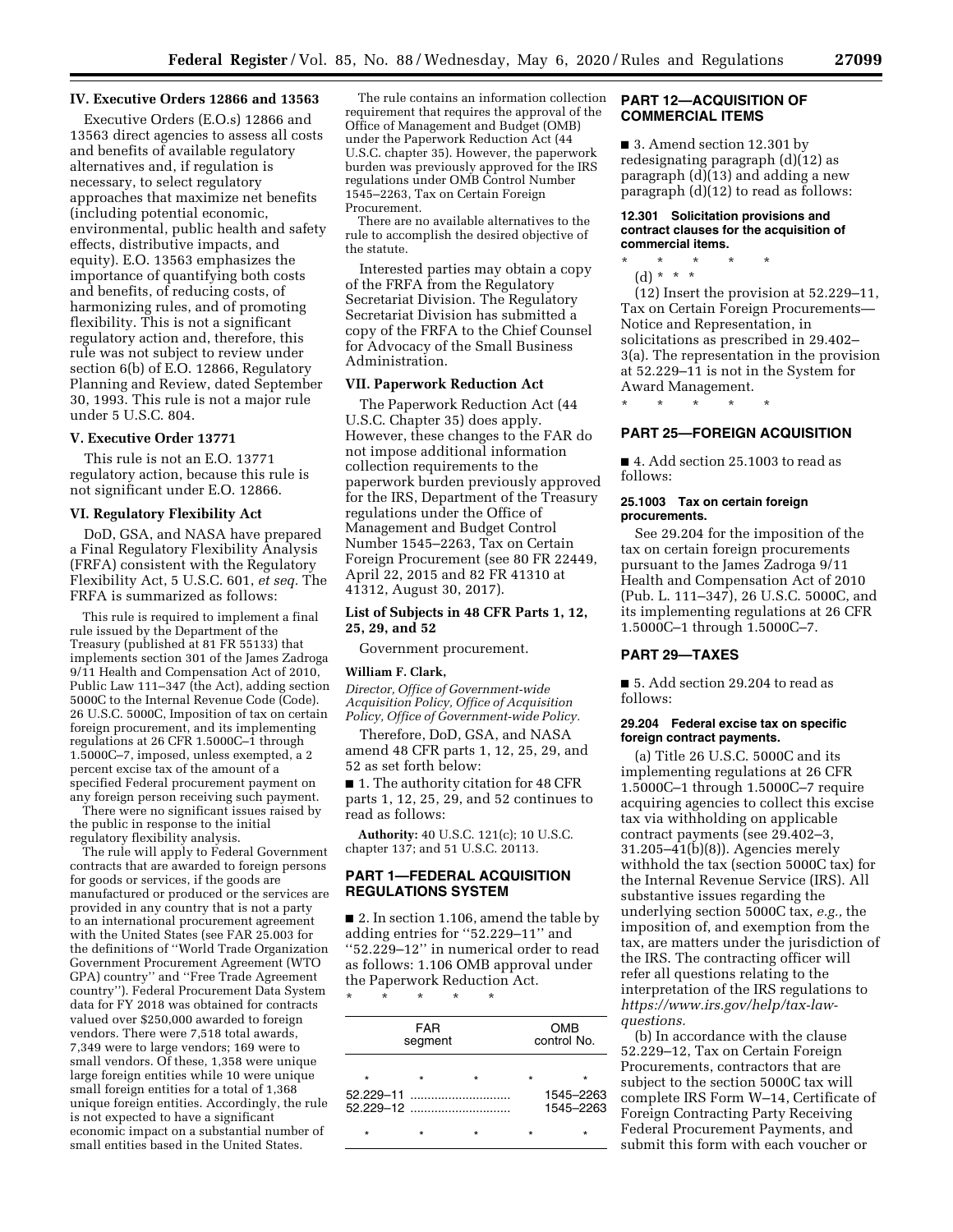## **IV. Executive Orders 12866 and 13563**

Executive Orders (E.O.s) 12866 and 13563 direct agencies to assess all costs and benefits of available regulatory alternatives and, if regulation is necessary, to select regulatory approaches that maximize net benefits (including potential economic, environmental, public health and safety effects, distributive impacts, and equity). E.O. 13563 emphasizes the importance of quantifying both costs and benefits, of reducing costs, of harmonizing rules, and of promoting flexibility. This is not a significant regulatory action and, therefore, this rule was not subject to review under section 6(b) of E.O. 12866, Regulatory Planning and Review, dated September 30, 1993. This rule is not a major rule under 5 U.S.C. 804.

#### **V. Executive Order 13771**

This rule is not an E.O. 13771 regulatory action, because this rule is not significant under E.O. 12866.

### **VI. Regulatory Flexibility Act**

DoD, GSA, and NASA have prepared a Final Regulatory Flexibility Analysis (FRFA) consistent with the Regulatory Flexibility Act, 5 U.S.C. 601, *et seq.* The FRFA is summarized as follows:

This rule is required to implement a final rule issued by the Department of the Treasury (published at 81 FR 55133) that implements section 301 of the James Zadroga 9/11 Health and Compensation Act of 2010, Public Law 111–347 (the Act), adding section 5000C to the Internal Revenue Code (Code). 26 U.S.C. 5000C, Imposition of tax on certain foreign procurement, and its implementing regulations at 26 CFR 1.5000C-1 through 1.5000C–7, imposed, unless exempted, a 2 percent excise tax of the amount of a specified Federal procurement payment on any foreign person receiving such payment.

There were no significant issues raised by the public in response to the initial regulatory flexibility analysis.

The rule will apply to Federal Government contracts that are awarded to foreign persons for goods or services, if the goods are manufactured or produced or the services are provided in any country that is not a party to an international procurement agreement with the United States (see FAR 25.003 for the definitions of ''World Trade Organization Government Procurement Agreement (WTO GPA) country'' and ''Free Trade Agreement country''). Federal Procurement Data System data for FY 2018 was obtained for contracts valued over \$250,000 awarded to foreign vendors. There were 7,518 total awards, 7,349 were to large vendors; 169 were to small vendors. Of these, 1,358 were unique large foreign entities while 10 were unique small foreign entities for a total of 1,368 unique foreign entities. Accordingly, the rule is not expected to have a significant economic impact on a substantial number of small entities based in the United States.

The rule contains an information collection requirement that requires the approval of the Office of Management and Budget (OMB) under the Paperwork Reduction Act (44 U.S.C. chapter 35). However, the paperwork burden was previously approved for the IRS regulations under OMB Control Number 1545–2263, Tax on Certain Foreign Procurement.

There are no available alternatives to the rule to accomplish the desired objective of the statute.

Interested parties may obtain a copy of the FRFA from the Regulatory Secretariat Division. The Regulatory Secretariat Division has submitted a copy of the FRFA to the Chief Counsel for Advocacy of the Small Business Administration.

### **VII. Paperwork Reduction Act**

The Paperwork Reduction Act (44 U.S.C. Chapter 35) does apply. However, these changes to the FAR do not impose additional information collection requirements to the paperwork burden previously approved for the IRS, Department of the Treasury regulations under the Office of Management and Budget Control Number 1545–2263, Tax on Certain Foreign Procurement (see 80 FR 22449, April 22, 2015 and 82 FR 41310 at 41312, August 30, 2017).

## **List of Subjects in 48 CFR Parts 1, 12, 25, 29, and 52**

Government procurement.

#### **William F. Clark,**

*Director, Office of Government-wide Acquisition Policy, Office of Acquisition Policy, Office of Government-wide Policy.* 

Therefore, DoD, GSA, and NASA amend 48 CFR parts 1, 12, 25, 29, and 52 as set forth below:

■ 1. The authority citation for 48 CFR parts 1, 12, 25, 29, and 52 continues to read as follows:

**Authority:** 40 U.S.C. 121(c); 10 U.S.C. chapter 137; and 51 U.S.C. 20113.

# **PART 1—FEDERAL ACQUISITION REGULATIONS SYSTEM**

■ 2. In section 1.106, amend the table by adding entries for ''52.229–11'' and ''52.229–12'' in numerical order to read as follows: 1.106 OMB approval under the Paperwork Reduction Act.

\* \* \* \* \*

| <b>FAR</b><br>segment |  |         | <b>OMB</b><br>control No. |         |  |
|-----------------------|--|---------|---------------------------|---------|--|
| $\star$               |  | $\star$ | $\star$                   | $\star$ |  |
| 52.229–11             |  |         | 1545-2263<br>1545-2263    |         |  |
|                       |  |         |                           |         |  |

### **PART 12—ACQUISITION OF COMMERCIAL ITEMS**

■ 3. Amend section 12.301 by redesignating paragraph (d)(12) as paragraph (d)(13) and adding a new paragraph (d)(12) to read as follows:

#### **12.301 Solicitation provisions and contract clauses for the acquisition of commercial items.**

\* \* \* \* \*

(d) \* \* \* (12) Insert the provision at 52.229–11, Tax on Certain Foreign Procurements— Notice and Representation, in solicitations as prescribed in 29.402– 3(a). The representation in the provision at 52.229–11 is not in the System for Award Management.

\* \* \* \* \*

# **PART 25—FOREIGN ACQUISITION**

■ 4. Add section 25.1003 to read as follows:

## **25.1003 Tax on certain foreign procurements.**

See 29.204 for the imposition of the tax on certain foreign procurements pursuant to the James Zadroga 9/11 Health and Compensation Act of 2010 (Pub. L. 111–347), 26 U.S.C. 5000C, and its implementing regulations at 26 CFR 1.5000C–1 through 1.5000C–7.

### **PART 29—TAXES**

■ 5. Add section 29.204 to read as follows:

#### **29.204 Federal excise tax on specific foreign contract payments.**

(a) Title 26 U.S.C. 5000C and its implementing regulations at 26 CFR 1.5000C–1 through 1.5000C–7 require acquiring agencies to collect this excise tax via withholding on applicable contract payments (see 29.402–3, 31.205–41(b)(8)). Agencies merely withhold the tax (section 5000C tax) for the Internal Revenue Service (IRS). All substantive issues regarding the underlying section 5000C tax, *e.g.,* the imposition of, and exemption from the tax, are matters under the jurisdiction of the IRS. The contracting officer will refer all questions relating to the interpretation of the IRS regulations to *[https://www.irs.gov/help/tax-law](https://www.irs.gov/help/tax-law-questions)[questions.](https://www.irs.gov/help/tax-law-questions)* 

(b) In accordance with the clause 52.229–12, Tax on Certain Foreign Procurements, contractors that are subject to the section 5000C tax will complete IRS Form W–14, Certificate of Foreign Contracting Party Receiving Federal Procurement Payments, and submit this form with each voucher or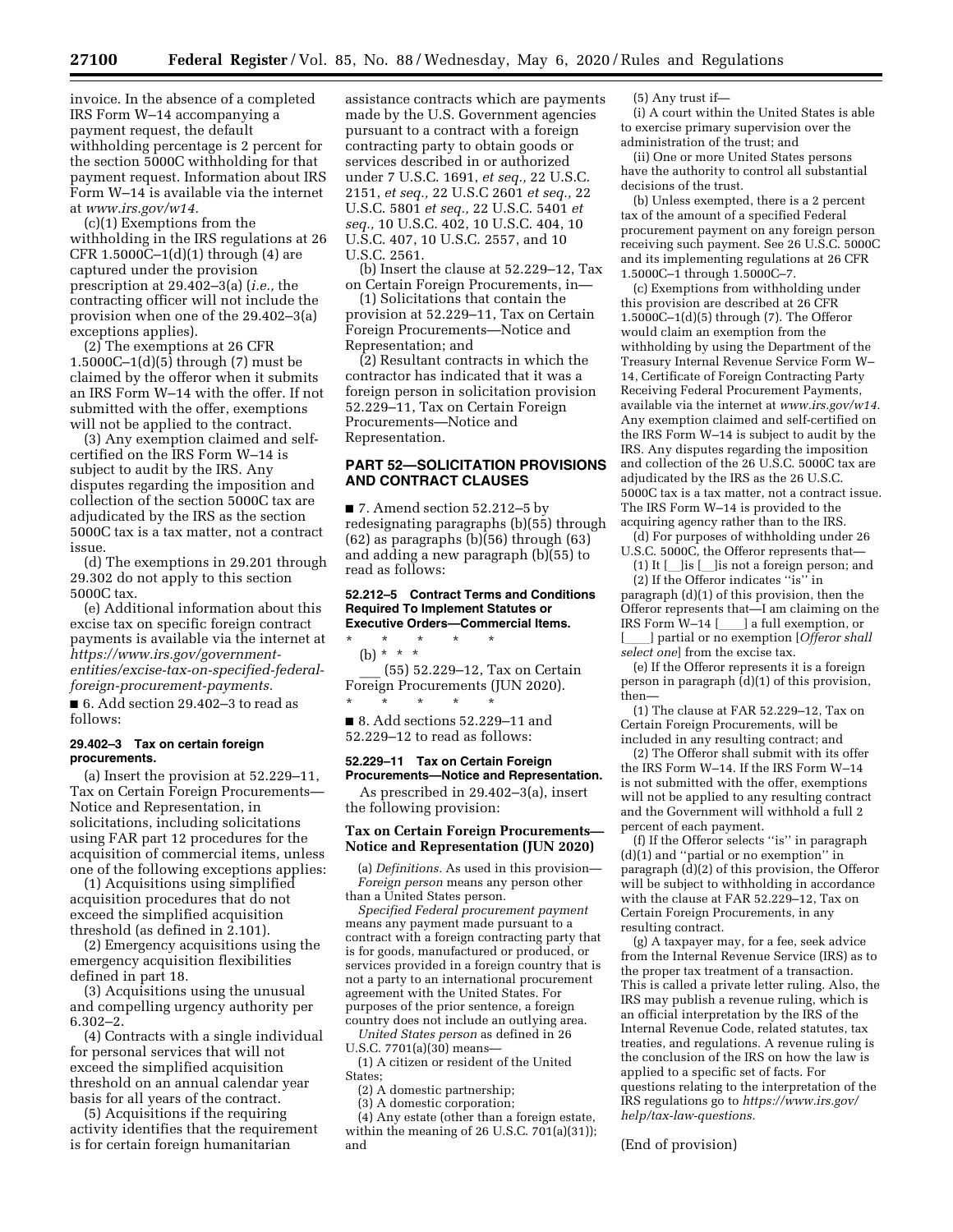invoice. In the absence of a completed IRS Form W–14 accompanying a payment request, the default withholding percentage is 2 percent for the section 5000C withholding for that payment request. Information about IRS Form W–14 is available via the internet at *[www.irs.gov/w14.](http://www.irs.gov/w14)* 

(c)(1) Exemptions from the withholding in the IRS regulations at 26 CFR  $1.5000C-1(d)(1)$  through  $(4)$  are captured under the provision prescription at 29.402–3(a) (*i.e.,* the contracting officer will not include the provision when one of the 29.402–3(a) exceptions applies).

(2) The exemptions at 26 CFR 1.5000C–1(d)(5) through (7) must be claimed by the offeror when it submits an IRS Form W–14 with the offer. If not submitted with the offer, exemptions will not be applied to the contract.

(3) Any exemption claimed and selfcertified on the IRS Form W–14 is subject to audit by the IRS. Any disputes regarding the imposition and collection of the section 5000C tax are adjudicated by the IRS as the section 5000C tax is a tax matter, not a contract issue.

(d) The exemptions in 29.201 through 29.302 do not apply to this section 5000C tax.

(e) Additional information about this excise tax on specific foreign contract payments is available via the internet at *https://www.irs.gov/government[entities/excise-tax-on-specified-federal](https://www.irs.gov/government-entities/excise-tax-on-specified-federal-foreign-procurement-payments)foreign-procurement-payments.* 

■ 6. Add section 29.402–3 to read as follows:

## **29.402–3 Tax on certain foreign procurements.**

(a) Insert the provision at 52.229–11, Tax on Certain Foreign Procurements— Notice and Representation, in solicitations, including solicitations using FAR part 12 procedures for the acquisition of commercial items, unless one of the following exceptions applies:

(1) Acquisitions using simplified acquisition procedures that do not exceed the simplified acquisition threshold (as defined in 2.101).

(2) Emergency acquisitions using the emergency acquisition flexibilities defined in part 18.

(3) Acquisitions using the unusual and compelling urgency authority per 6.302–2.

(4) Contracts with a single individual for personal services that will not exceed the simplified acquisition threshold on an annual calendar year basis for all years of the contract.

(5) Acquisitions if the requiring activity identifies that the requirement is for certain foreign humanitarian

assistance contracts which are payments made by the U.S. Government agencies pursuant to a contract with a foreign contracting party to obtain goods or services described in or authorized under 7 U.S.C. 1691, *et seq.,* 22 U.S.C. 2151, *et seq.,* 22 U.S.C 2601 *et seq.,* 22 U.S.C. 5801 *et seq.,* 22 U.S.C. 5401 *et seq.,* 10 U.S.C. 402, 10 U.S.C. 404, 10 U.S.C. 407, 10 U.S.C. 2557, and 10 U.S.C. 2561.

(b) Insert the clause at 52.229–12, Tax on Certain Foreign Procurements, in—

(1) Solicitations that contain the provision at 52.229–11, Tax on Certain Foreign Procurements—Notice and Representation; and

(2) Resultant contracts in which the contractor has indicated that it was a foreign person in solicitation provision 52.229–11, Tax on Certain Foreign Procurements—Notice and Representation.

## **PART 52—SOLICITATION PROVISIONS AND CONTRACT CLAUSES**

■ 7. Amend section 52.212–5 by redesignating paragraphs (b)(55) through (62) as paragraphs (b)(56) through (63) and adding a new paragraph (b)(55) to read as follows:

### **52.212–5 Contract Terms and Conditions Required To Implement Statutes or Executive Orders—Commercial Items.**

\* \* \* \* \* (b) \* \* \* \_\_\_ (55) 52.229–12, Tax on Certain Foreign Procurements (JUN 2020). \* \* \* \* \* ■ 8. Add sections 52.229–11 and

52.229–12 to read as follows:

#### **52.229–11 Tax on Certain Foreign Procurements—Notice and Representation.**

As prescribed in 29.402–3(a), insert the following provision:

#### **Tax on Certain Foreign Procurements— Notice and Representation (JUN 2020)**

(a) *Definitions.* As used in this provision— *Foreign person* means any person other than a United States person.

*Specified Federal procurement payment*  means any payment made pursuant to a contract with a foreign contracting party that is for goods, manufactured or produced, or services provided in a foreign country that is not a party to an international procurement agreement with the United States. For purposes of the prior sentence, a foreign country does not include an outlying area.

*United States person* as defined in 26 U.S.C. 7701(a)(30) means—

(1) A citizen or resident of the United States;

(2) A domestic partnership;

(3) A domestic corporation; (4) Any estate (other than a foreign estate, within the meaning of 26 U.S.C. 701(a)(31)); and

#### (5) Any trust if—

(i) A court within the United States is able to exercise primary supervision over the administration of the trust; and

(ii) One or more United States persons have the authority to control all substantial decisions of the trust.

(b) Unless exempted, there is a 2 percent tax of the amount of a specified Federal procurement payment on any foreign person receiving such payment. See 26 U.S.C. 5000C and its implementing regulations at 26 CFR 1.5000C–1 through 1.5000C–7.

(c) Exemptions from withholding under this provision are described at 26 CFR 1.5000C–1(d)(5) through (7). The Offeror would claim an exemption from the withholding by using the Department of the Treasury Internal Revenue Service Form W– 14, Certificate of Foreign Contracting Party Receiving Federal Procurement Payments, available via the internet at *[www.irs.gov/w14.](http://www.irs.gov/w14)*  Any exemption claimed and self-certified on the IRS Form W–14 is subject to audit by the IRS. Any disputes regarding the imposition and collection of the 26 U.S.C. 5000C tax are adjudicated by the IRS as the 26 U.S.C. 5000C tax is a tax matter, not a contract issue. The IRS Form W–14 is provided to the acquiring agency rather than to the IRS.

(d) For purposes of withholding under 26 U.S.C. 5000C, the Offeror represents that—

(1) It  $[\ ]$ is  $[\ ]$ is not a foreign person; and (2) If the Offeror indicates ''is'' in paragraph (d)(1) of this provision, then the Offeror represents that—I am claiming on the IRS Form  $W-14$  [iii] a full exemption, or [iiii] partial or no exemption [*Offeror sha* [ll] partial or no exemption [*Offeror shall select one*] from the excise tax.

(e) If the Offeror represents it is a foreign person in paragraph  $(d)(1)$  of this provision, then—

(1) The clause at FAR 52.229–12, Tax on Certain Foreign Procurements, will be included in any resulting contract; and

(2) The Offeror shall submit with its offer the IRS Form W–14. If the IRS Form W–14 is not submitted with the offer, exemptions will not be applied to any resulting contract and the Government will withhold a full 2 percent of each payment.

(f) If the Offeror selects ''is'' in paragraph (d)(1) and ''partial or no exemption'' in paragraph  $(d)(2)$  of this provision, the Offeror will be subject to withholding in accordance with the clause at FAR 52.229–12, Tax on Certain Foreign Procurements, in any resulting contract.

(g) A taxpayer may, for a fee, seek advice from the Internal Revenue Service (IRS) as to the proper tax treatment of a transaction. This is called a private letter ruling. Also, the IRS may publish a revenue ruling, which is an official interpretation by the IRS of the Internal Revenue Code, related statutes, tax treaties, and regulations. A revenue ruling is the conclusion of the IRS on how the law is applied to a specific set of facts. For questions relating to the interpretation of the IRS regulations go to *[https://www.irs.gov/](https://www.irs.gov/help/tax-law-questions)  [help/tax-law-questions.](https://www.irs.gov/help/tax-law-questions)* 

(End of provision)